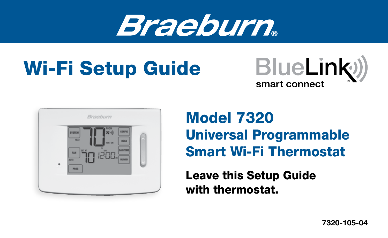

# Wi-Fi Setup Guide





## Model 7320 Universal Programmable Smart Wi-Fi Thermostat

Leave this Setup Guide with thermostat.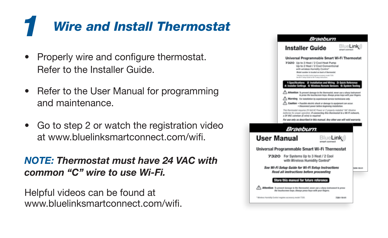### *Wire and Install Thermostat 1*

- Properly wire and configure thermostat. Refer to the Installer Guide.
- Refer to the User Manual for programming and maintenance.
- Go to step 2 or watch the registration video at www.bluelinksmartconnect.com/wifi.

#### *NOTE: Thermostat must have 24 VAC with common "C" wire to use Wi-Fi.*

Helpful videos can be found at www.bluelinksmartconnect.com/wifi.

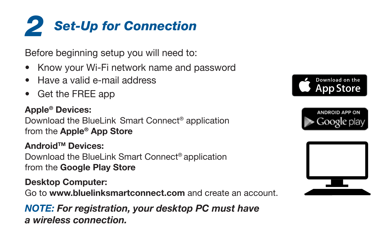

Before beginning setup you will need to:

- Know your Wi-Fi network name and password
- Have a valid e-mail address
- Get the FREE app

#### Apple® Devices:

Download the BlueLink Smart Connect® application from the Apple® App Store

AndroidTM Devices: Download the BlueLink Smart Connect® application from the Google Play Store

#### Desktop Computer:

Go to www.bluelinksmartconnect.com and create an account.

*NOTE: For registration, your desktop PC must have a wireless connection.*





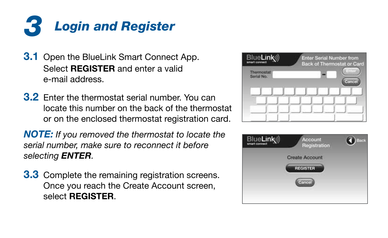

- **3.1** Open the BlueLink Smart Connect App. Select REGISTER and enter a valid e-mail address.
- 3.2 Enter the thermostat serial number. You can locate this number on the back of the thermostat or on the enclosed thermostat registration card.

*NOTE: If you removed the thermostat to locate the serial number, make sure to reconnect it before selecting ENTER.*

**3.3** Complete the remaining registration screens. Once you reach the Create Account screen, select REGISTER.



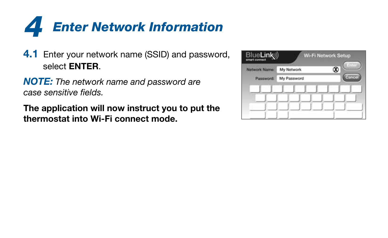

**4.1** Enter your network name (SSID) and password, select ENTER.

*NOTE: The network name and password are case sensitive fields.*

The application will now instruct you to put the thermostat into Wi-Fi connect mode.

| Network Name: | My Network  | $= 11111$<br>Ø |
|---------------|-------------|----------------|
| Password:     | My Password | Cancel         |
|               |             |                |
|               |             |                |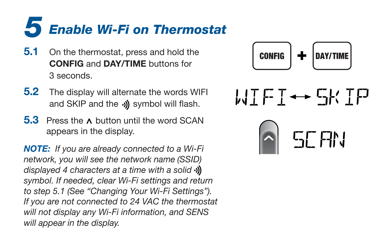

- **5.1** On the thermostat, press and hold the CONFIG and DAY/TIME buttons for 3 seconds.
- **5.2** The display will alternate the words WIFI and SKIP and the  $\phi$ ) symbol will flash.
- 5.3 Press the  $\lambda$  button until the word SCAN appears in the display.

*NOTE: If you are already connected to a Wi-Fi network, you will see the network name (SSID) displayed 4 characters at a time with a solid symbol. If needed, clear Wi-Fi settings and return to step 5.1 (See "Changing Your Wi-Fi Settings"). If you are not connected to 24 VAC the thermostat will not display any Wi-Fi information, and SENS will appear in the display.*



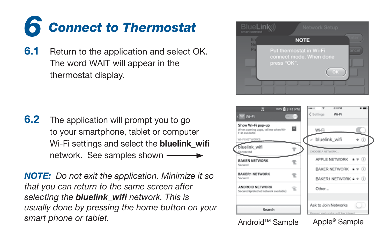

**6.1** Return to the application and select OK. The word WAIT will appear in the thermostat display.

**6.2** The application will prompt you to go to your smartphone, tablet or computer Wi-Fi settings and select the bluelink\_wifi network. See samples shown

*NOTE: Do not exit the application. Minimize it so that you can return to the same screen after selecting the bluelink\_wifi network. This is usually done by pressing the home button on your smart phone or tablet.*





Android<sup>™</sup> Sample Apple® Sample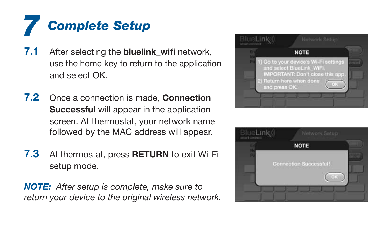### *Complete Setup 7*

- 7.1 After selecting the **bluelink\_wifi** network, use the home key to return to the application and select OK.
- 7.2 Once a connection is made. Connection Successful will appear in the application screen. At thermostat, your network name followed by the MAC address will appear.
- **7.3** At thermostat, press **RETURN** to exit Wi-Fi setup mode.

*NOTE: After setup is complete, make sure to return your device to the original wireless network.*



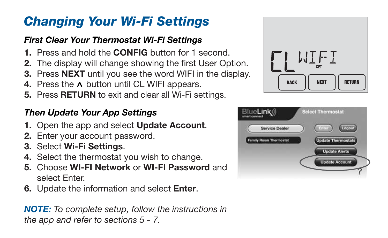### *Changing Your Wi-Fi Settings*

### *First Clear Your Thermostat Wi-Fi Settings*

- 1. Press and hold the CONFIG button for 1 second.
- 2. The display will change showing the first User Option.
- **3.** Press **NEXT** until you see the word WIFI in the display.
- 4. Press the  $\land$  button until CL WIFI appears.
- 5. Press RETURN to exit and clear all Wi-Fi settings.

### *Then Update Your App Settings*

- 1. Open the app and select Update Account.
- 2. Enter your account password.
- 3. Select Wi-Fi Settings.
- 4. Select the thermostat you wish to change.
- 5. Choose WI-FI Network or WI-FI Password and select Enter.
- 6. Update the information and select Enter.

*NOTE: To complete setup, follow the instructions in the app and refer to sections 5 - 7.*